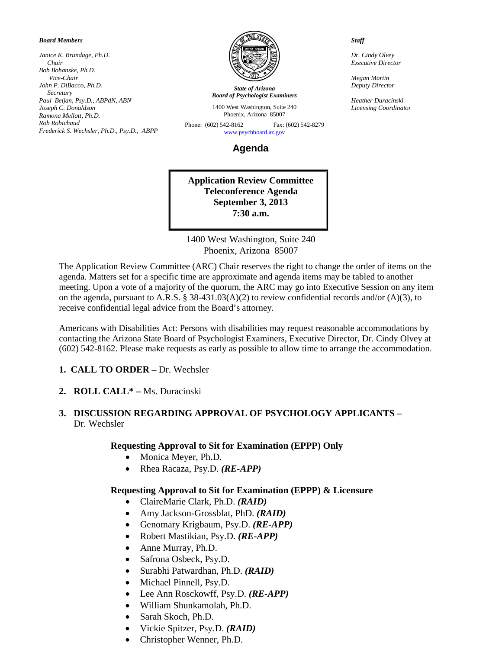#### *Board Members*

*Janice K. Brundage, Ph.D. Chair Bob Bohanske, Ph.D. Vice-Chair John P. DiBacco, Ph.D. Secretary Paul Beljan, Psy.D., ABPdN, ABN Joseph C. Donaldson Ramona Mellott, Ph.D. Rob Robichaud Frederick S. Wechsler, Ph.D., Psy.D., ABPP*



*State of Arizona Board of Psychologist Examiners*

1400 West Washington, Suite 240 Phoenix, Arizona 85007

Phone: (602) 542-8162 Fax: (602) 542-8279 [www.psychboard.az.gov](http://www.psychboard.az.gov/) 

**Agenda**

**Application Review Committee Teleconference Agenda September 3, 2013 7:30 a.m.**

1400 West Washington, Suite 240 Phoenix, Arizona 85007

The Application Review Committee (ARC) Chair reserves the right to change the order of items on the agenda. Matters set for a specific time are approximate and agenda items may be tabled to another meeting. Upon a vote of a majority of the quorum, the ARC may go into Executive Session on any item on the agenda, pursuant to A.R.S. § 38-431.03(A)(2) to review confidential records and/or (A)(3), to receive confidential legal advice from the Board's attorney.

Americans with Disabilities Act: Persons with disabilities may request reasonable accommodations by contacting the Arizona State Board of Psychologist Examiners, Executive Director, Dr. Cindy Olvey at (602) 542-8162. Please make requests as early as possible to allow time to arrange the accommodation.

- **1. CALL TO ORDER –** Dr. Wechsler
- **2. ROLL CALL\* –** Ms. Duracinski

### **3. DISCUSSION REGARDING APPROVAL OF PSYCHOLOGY APPLICANTS –** Dr. Wechsler

#### **Requesting Approval to Sit for Examination (EPPP) Only**

- Monica Meyer, Ph.D.
- Rhea Racaza, Psy.D. *(RE-APP)*

#### **Requesting Approval to Sit for Examination (EPPP) & Licensure**

- ClaireMarie Clark, Ph.D. *(RAID)*
- Amy Jackson-Grossblat, PhD. *(RAID)*
- Genomary Krigbaum, Psy.D. *(RE-APP)*
- Robert Mastikian, Psy.D. *(RE-APP)*
- Anne Murray, Ph.D.
- Safrona Osbeck, Psy.D.
- Surabhi Patwardhan, Ph.D. *(RAID)*
- Michael Pinnell, Psy.D.
- Lee Ann Rosckowff, Psy.D. *(RE-APP)*
- William Shunkamolah, Ph.D.
- Sarah Skoch, Ph.D.
- Vickie Spitzer, Psy.D. *(RAID)*
- Christopher Wenner, Ph.D.

#### *Staff*

*Dr. Cindy Olvey Executive Director*

*Megan Martin Deputy Director*

*Heather Duracinski Licensing Coordinator*